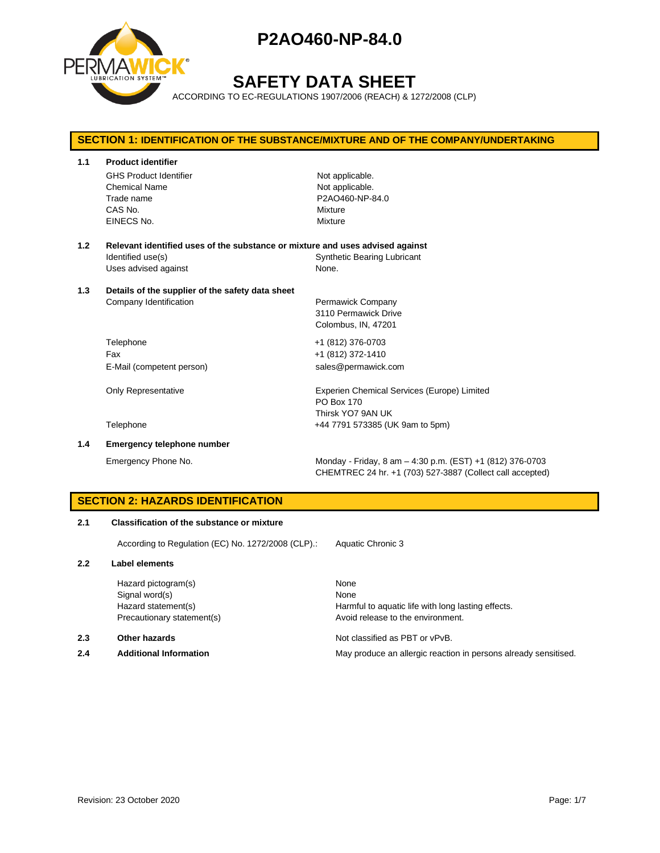

## **SAFETY DATA SHEET**

ACCORDING TO EC-REGULATIONS 1907/2006 (REACH) & 1272/2008 (CLP)

## **SECTION 1: IDENTIFICATION OF THE SUBSTANCE/MIXTURE AND OF THE COMPANY/UNDERTAKING 1.1 Product identifier** GHS Product Identifier Not applicable. Chemical Name Not applicable. Trade name **P2AO460-NP-84.0** CAS No. Mixture EINECS No. Mixture **1.2 Relevant identified uses of the substance or mixture and uses advised against** Identified use(s) The Synthetic Bearing Lubricant Uses advised against None. **1.3 Details of the supplier of the safety data sheet** Company Identification **Permawick Company** 3110 Permawick Drive Colombus, IN, 47201 Telephone +1 (812) 376-0703 Fax +1 (812) 372-1410 E-Mail (competent person) sales@permawick.com Only Representative **Experien Chemical Services (Europe)** Limited PO Box 170 Thirsk YO7 9AN UK Telephone +44 7791 573385 (UK 9am to 5pm) **1.4 Emergency telephone number** Emergency Phone No. Monday - Friday, 8 am – 4:30 p.m. (EST) +1 (812) 376-0703

## CHEMTREC 24 hr. +1 (703) 527-3887 (Collect call accepted)

## **SECTION 2: HAZARDS IDENTIFICATION**

### **2.1 Classification of the substance or mixture**

According to Regulation (EC) No. 1272/2008 (CLP).: Aquatic Chronic 3

#### **2.2 Label elements**

Hazard pictogram(s) None Signal word(s) None

### **2.3 Other hazards Detection According to the Contract Contract According Not classified as PBT or vPvB.**

Hazard statement(s) The Harmful to aquatic life with long lasting effects. Precautionary statement(s) example a provid release to the environment.

**2.4 Additional Information** May produce an allergic reaction in persons already sensitised.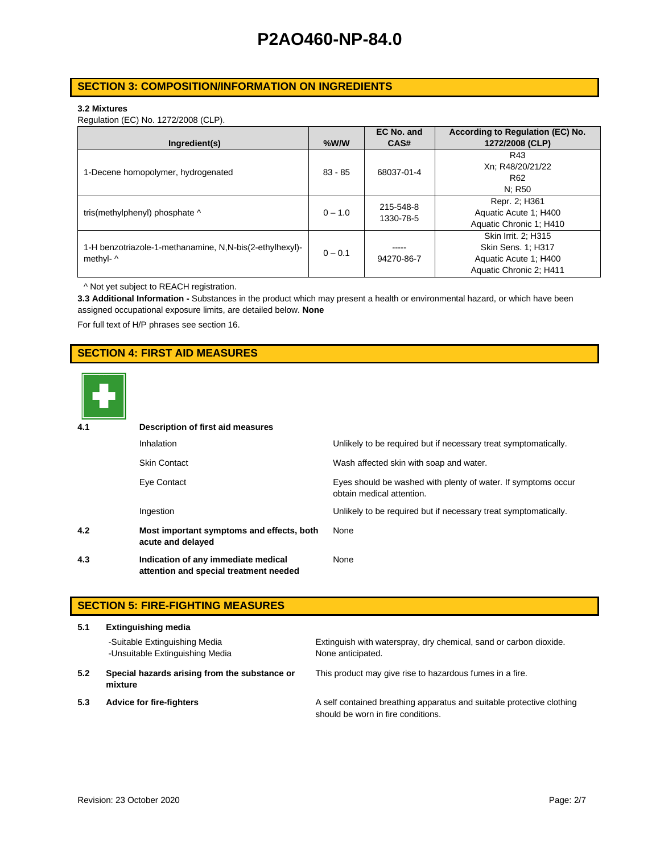## **SECTION 3: COMPOSITION/INFORMATION ON INGREDIENTS**

#### **3.2 Mixtures**

Regulation (EC) No. 1272/2008 (CLP).

|                                                         |           | EC No. and | According to Regulation (EC) No. |
|---------------------------------------------------------|-----------|------------|----------------------------------|
| Ingredient(s)                                           | $%$ W/W   | CAS#       | 1272/2008 (CLP)                  |
|                                                         |           |            | R43                              |
| 1-Decene homopolymer, hydrogenated                      | $83 - 85$ | 68037-01-4 | Xn; R48/20/21/22                 |
|                                                         |           |            | R <sub>62</sub>                  |
|                                                         |           |            | N: R50                           |
|                                                         |           | 215-548-8  | Repr. 2; H361                    |
| tris(methylphenyl) phosphate ^                          | $0 - 1.0$ | 1330-78-5  | Aquatic Acute 1; H400            |
|                                                         |           |            | Aquatic Chronic 1; H410          |
|                                                         |           |            | Skin Irrit. 2; H315              |
| 1-H benzotriazole-1-methanamine, N,N-bis(2-ethylhexyl)- | $0 - 0.1$ | -----      | Skin Sens. 1: H317               |
| methyl- ^                                               |           | 94270-86-7 | Aquatic Acute 1; H400            |
|                                                         |           |            | Aquatic Chronic 2; H411          |

^ Not yet subject to REACH registration.

**3.3 Additional Information -** Substances in the product which may present a health or environmental hazard, or which have been assigned occupational exposure limits, are detailed below. **None**

For full text of H/P phrases see section 16.

## **SECTION 4: FIRST AID MEASURES**



| 4.1 | Description of first aid measures                                             |                                                                                            |  |  |  |
|-----|-------------------------------------------------------------------------------|--------------------------------------------------------------------------------------------|--|--|--|
|     | Inhalation                                                                    | Unlikely to be required but if necessary treat symptomatically.                            |  |  |  |
|     | <b>Skin Contact</b>                                                           | Wash affected skin with soap and water.                                                    |  |  |  |
|     | Eye Contact                                                                   | Eyes should be washed with plenty of water. If symptoms occur<br>obtain medical attention. |  |  |  |
|     | Ingestion                                                                     | Unlikely to be required but if necessary treat symptomatically.                            |  |  |  |
| 4.2 | Most important symptoms and effects, both<br>acute and delayed                | None                                                                                       |  |  |  |
| 4.3 | Indication of any immediate medical<br>attention and special treatment needed | None                                                                                       |  |  |  |

## **SECTION 5: FIRE-FIGHTING MEASURES**

| 5.1 | <b>Extinguishing media</b>                                       |                                                                                                             |  |  |  |
|-----|------------------------------------------------------------------|-------------------------------------------------------------------------------------------------------------|--|--|--|
|     | -Suitable Extinguishing Media<br>-Unsuitable Extinguishing Media | Extinguish with waterspray, dry chemical, sand or carbon dioxide.<br>None anticipated.                      |  |  |  |
| 5.2 | Special hazards arising from the substance or<br>mixture         | This product may give rise to hazardous fumes in a fire.                                                    |  |  |  |
| 5.3 | <b>Advice for fire-fighters</b>                                  | A self contained breathing apparatus and suitable protective clothing<br>should be worn in fire conditions. |  |  |  |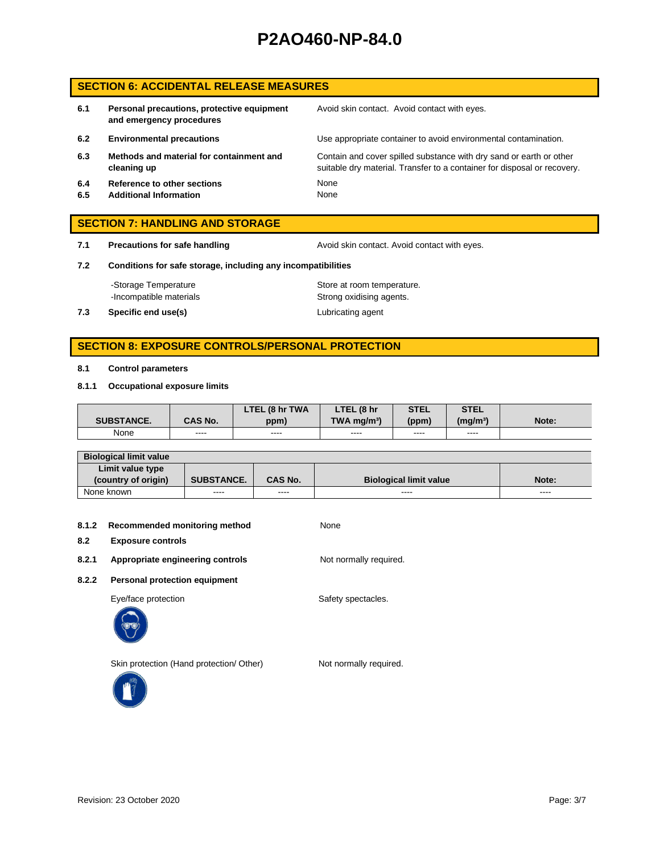## **SECTION 6: ACCIDENTAL RELEASE MEASURES**

- **6.1 Personal precautions, protective equipment and emergency procedures** Avoid skin contact. Avoid contact with eyes. **6.2 Environmental precautions** Use appropriate container to avoid environmental contamination. **6.3 Methods and material for containment and cleaning up** Contain and cover spilled substance with dry sand or earth or other suitable dry material. Transfer to a container for disposal or recovery. **6.4 Reference to other sections** None **6.5 Additional Information** None **SECTION 7: HANDLING AND STORAGE**
- 

**7.1 Precautions for safe handling <b>Process** Avoid skin contact. Avoid contact with eyes.

**7.2 Conditions for safe storage, including any incompatibilities**

-Storage Temperature **Store at room temperature.** -Incompatible materials **Strong oxidising agents**. **7.3 Specific end use(s)** Lubricating agent

## **SECTION 8: EXPOSURE CONTROLS/PERSONAL PROTECTION**

#### **8.1 Control parameters**

#### **8.1.1 Occupational exposure limits**

|                   |                | LTEL (8 hr TWA | LTEL (8 hr    | <b>STEL</b>   | <b>STEL</b>          |       |
|-------------------|----------------|----------------|---------------|---------------|----------------------|-------|
| <b>SUBSTANCE.</b> | <b>CAS No.</b> | ppm)           | TWA $mq/m3$   | (ppm)         | (mg/m <sup>3</sup> ) | Note: |
| None              | ----           | $\frac{1}{2}$  | $\frac{1}{2}$ | $\frac{1}{2}$ | $\frac{1}{2}$        |       |

| <b>Biological limit value</b> |                   |                |                               |               |
|-------------------------------|-------------------|----------------|-------------------------------|---------------|
| Limit value type              |                   |                |                               |               |
| (country of origin)           | <b>SUBSTANCE.</b> | <b>CAS No.</b> | <b>Biological limit value</b> | Note:         |
| None known                    | ----              | ----           | ----                          | $\frac{1}{2}$ |

#### **8.1.2 Recommended monitoring method** None

### **8.2 Exposure controls**

#### 8.2.1 **Appropriate engineering controls** Not normally required.

#### **8.2.2 Personal protection equipment**

Eye/face protection extensive spectacles.



Skin protection (Hand protection/ Other) Not normally required.

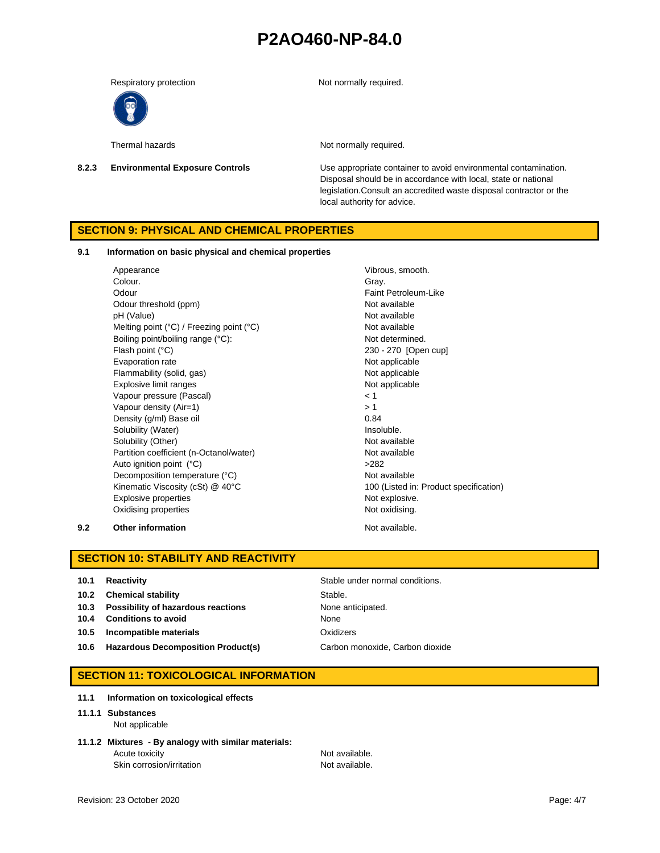Respiratory protection Not normally required.

Thermal hazards **Not required.** Not normally required.

**8.2.3 Environmental Exposure Controls** Use appropriate container to avoid environmental contamination. Disposal should be in accordance with local, state or national legislation.Consult an accredited waste disposal contractor or the local authority for advice.

## **SECTION 9: PHYSICAL AND CHEMICAL PROPERTIES**

#### **9.1 Information on basic physical and chemical properties**

Appearance Vibrous, smooth. Colour. **Gray.** Gray. Odour **Faint Petroleum-Like** Odour threshold (ppm) Not available pH (Value) Not available Melting point (°C) / Freezing point (°C) Not available Boiling point/boiling range (°C): Not determined. Flash point (°C) 230 - 270 [Open cup] Evaporation rate Not applicable Flammability (solid, gas) Not applicable Explosive limit ranges Not applicable Vapour pressure (Pascal) < 1 Vapour density  $(Air=1)$  > 1 Density (g/ml) Base oil 0.84 Solubility (Water) and the soluble soluble. Solubility (Other) Not available Partition coefficient (n-Octanol/water) Not available Auto ignition point (°C)  $>282$ Decomposition temperature (°C) Not available Kinematic Viscosity (cSt) @ 40°C 100 (Listed in: Product specification) Explosive properties **Not explosive.** Not explosive. Oxidising properties Not oxidising.

## **9.2 Other information 19.2 Other information**

### **SECTION 10: STABILITY AND REACTIVITY**

- 
- **10.2 Chemical stability** Stable.
- **10.3 Possibility of hazardous reactions** None anticipated.
- **10.4 Conditions to avoid None** None
- **10.5 Incompatible materials** Oxidizers
- **10.6 Hazardous Decomposition Product(s)** Carbon monoxide, Carbon dioxide

**10.1 Reactivity 10.1 Reactivity Stable under normal conditions.** 

## **SECTION 11: TOXICOLOGICAL INFORMATION**

**11.1 Information on toxicological effects**

#### **11.1.1 Substances**

Not applicable

**11.1.2 Mixtures - By analogy with similar materials:** Acute toxicity **Not available.** Skin corrosion/irritation Not available.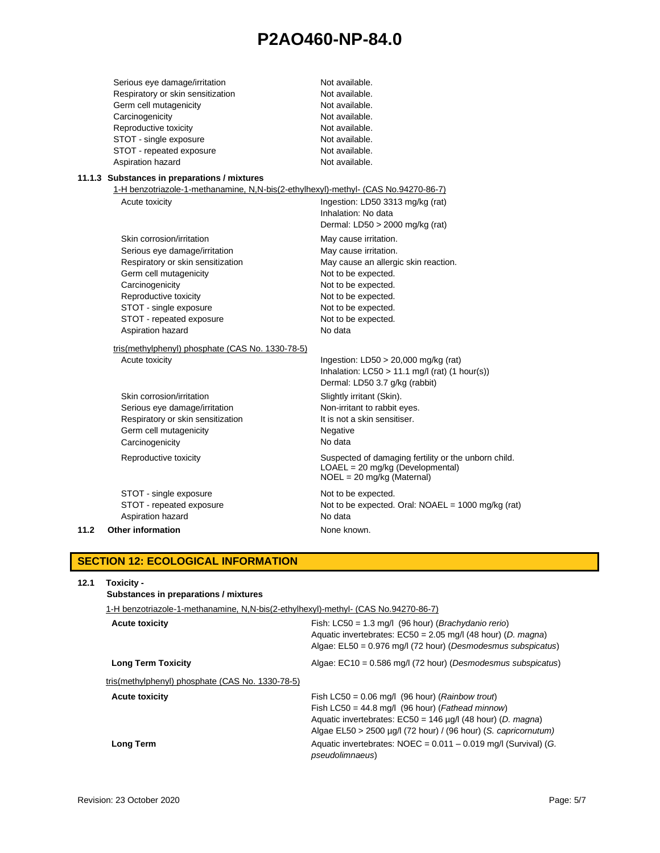|      | Serious eye damage/irritation                                                      | Not available.                                       |
|------|------------------------------------------------------------------------------------|------------------------------------------------------|
|      | Respiratory or skin sensitization                                                  | Not available.                                       |
|      | Germ cell mutagenicity                                                             | Not available.                                       |
|      | Carcinogenicity                                                                    | Not available.                                       |
|      | Reproductive toxicity                                                              | Not available.                                       |
|      | STOT - single exposure                                                             | Not available.                                       |
|      | STOT - repeated exposure                                                           | Not available.                                       |
|      | Aspiration hazard                                                                  | Not available.                                       |
|      | 11.1.3 Substances in preparations / mixtures                                       |                                                      |
|      | 1-H benzotriazole-1-methanamine, N,N-bis(2-ethylhexyl)-methyl- (CAS No.94270-86-7) |                                                      |
|      | Acute toxicity                                                                     | Ingestion: LD50 3313 mg/kg (rat)                     |
|      |                                                                                    | Inhalation: No data                                  |
|      |                                                                                    | Dermal: LD50 > 2000 mg/kg (rat)                      |
|      | Skin corrosion/irritation                                                          | May cause irritation.                                |
|      | Serious eye damage/irritation                                                      | May cause irritation.                                |
|      | Respiratory or skin sensitization                                                  | May cause an allergic skin reaction.                 |
|      | Germ cell mutagenicity                                                             | Not to be expected.                                  |
|      | Carcinogenicity                                                                    | Not to be expected.                                  |
|      | Reproductive toxicity                                                              | Not to be expected.                                  |
|      | STOT - single exposure                                                             | Not to be expected.                                  |
|      | STOT - repeated exposure                                                           | Not to be expected.                                  |
|      | Aspiration hazard                                                                  | No data                                              |
|      | tris(methylphenyl) phosphate (CAS No. 1330-78-5)                                   |                                                      |
|      | Acute toxicity                                                                     | Ingestion: $LD50 > 20,000$ mg/kg (rat)               |
|      |                                                                                    | Inhalation: $LC50 > 11.1$ mg/l (rat) (1 hour(s))     |
|      |                                                                                    | Dermal: LD50 3.7 g/kg (rabbit)                       |
|      | Skin corrosion/irritation                                                          | Slightly irritant (Skin).                            |
|      | Serious eye damage/irritation                                                      | Non-irritant to rabbit eyes.                         |
|      | Respiratory or skin sensitization                                                  | It is not a skin sensitiser.                         |
|      | Germ cell mutagenicity                                                             | Negative                                             |
|      | Carcinogenicity                                                                    | No data                                              |
|      | Reproductive toxicity                                                              | Suspected of damaging fertility or the unborn child. |
|      |                                                                                    | LOAEL = 20 mg/kg (Developmental)                     |
|      |                                                                                    | NOEL = 20 mg/kg (Maternal)                           |
|      | STOT - single exposure                                                             | Not to be expected.                                  |
|      | STOT - repeated exposure                                                           | Not to be expected. Oral: $NOAEL = 1000$ mg/kg (rat) |
|      | Aspiration hazard                                                                  | No data                                              |
| 11.2 | <b>Other information</b>                                                           | None known.                                          |
|      |                                                                                    |                                                      |
|      |                                                                                    |                                                      |

## **SECTION 12: ECOLOGICAL INFORMATION**

| 12.1 | Toxicity -<br>Substances in preparations / mixtures<br>1-H benzotriazole-1-methanamine, N,N-bis(2-ethylhexyl)-methyl- (CAS No.94270-86-7) |                                                                                                                                                                                                                                                         |  |  |
|------|-------------------------------------------------------------------------------------------------------------------------------------------|---------------------------------------------------------------------------------------------------------------------------------------------------------------------------------------------------------------------------------------------------------|--|--|
|      | <b>Acute toxicity</b>                                                                                                                     | Fish: $LC50 = 1.3$ mg/l (96 hour) ( <i>Brachydanio rerio</i> )<br>Aquatic invertebrates: $EC50 = 2.05$ mg/l (48 hour) (D. magna)<br>Algae: EL50 = 0.976 mg/l (72 hour) (Desmodesmus subspicatus)                                                        |  |  |
|      | <b>Long Term Toxicity</b>                                                                                                                 | Algae: $EC10 = 0.586$ mg/l (72 hour) (Desmodesmus subspicatus)                                                                                                                                                                                          |  |  |
|      | tris(methylphenyl) phosphate (CAS No. 1330-78-5)                                                                                          |                                                                                                                                                                                                                                                         |  |  |
|      | <b>Acute toxicity</b>                                                                                                                     | Fish LC50 = $0.06$ mg/l (96 hour) ( <i>Rainbow trout</i> )<br>Fish LC50 = $44.8$ mg/l (96 hour) (Fathead minnow)<br>Aquatic invertebrates: EC50 = 146 µg/l (48 hour) (D. magna)<br>Algae $EL50 > 2500 \mu q/l$ (72 hour) / (96 hour) (S. capricornutum) |  |  |
|      | Long Term                                                                                                                                 | Aquatic invertebrates: $NOEC = 0.011 - 0.019$ mg/l (Survival) (G.<br><i>pseudolimnaeus</i> )                                                                                                                                                            |  |  |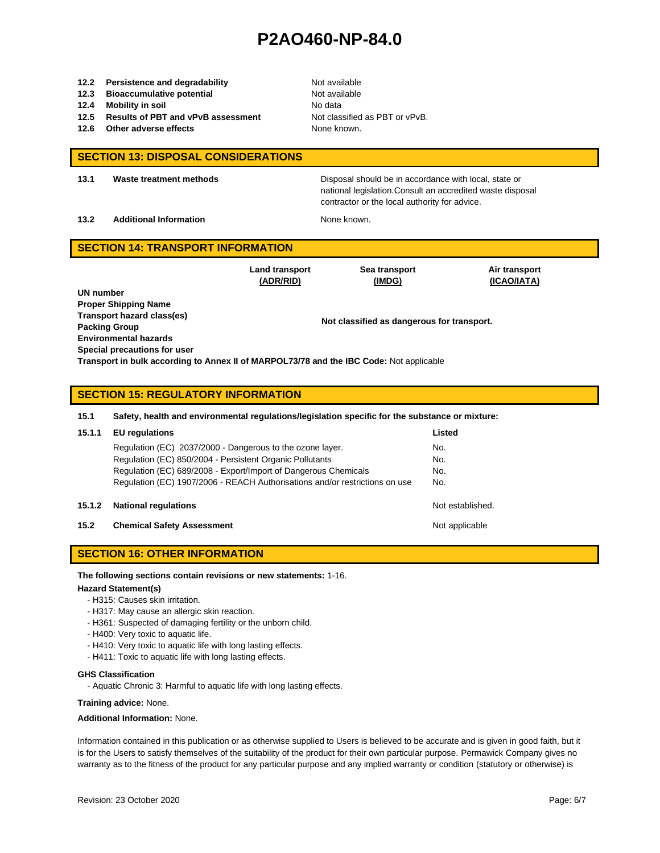- **12.2 Persistence and degradability** Not available
- **12.3 Bioaccumulative potential** Not available
- **12.4 Mobility in soil** No data
- **12.5 Results of PBT and vPvB assessment** Not classified as PBT or vPvB.
- **12.6 Other adverse effects None known. None known.**

### **SECTION 13: DISPOSAL CONSIDERATIONS**

**13.1 Waste treatment methods** Disposal should be in accordance with local, state or national legislation.Consult an accredited waste disposal contractor or the local authority for advice.

**13.2 Additional Information None known.** 

### **SECTION 14: TRANSPORT INFORMATION**

|                              | <b>Land transport</b><br>(ADR/RID) | Sea transport<br>(IMDG)                    | Air transport<br>(ICAO/IATA) |
|------------------------------|------------------------------------|--------------------------------------------|------------------------------|
| UN number                    |                                    |                                            |                              |
| <b>Proper Shipping Name</b>  |                                    |                                            |                              |
| Transport hazard class(es)   |                                    |                                            |                              |
| <b>Packing Group</b>         |                                    | Not classified as dangerous for transport. |                              |
| <b>Environmental hazards</b> |                                    |                                            |                              |
|                              |                                    |                                            |                              |

**Special precautions for user**

**Transport in bulk according to Annex II of MARPOL73/78 and the IBC Code:** Not applicable

### **SECTION 15: REGULATORY INFORMATION**

**15.1 Safety, health and environmental regulations/legislation specific for the substance or mixture:**

| 15.1.1 | <b>EU</b> regulations                                                       | Listed           |
|--------|-----------------------------------------------------------------------------|------------------|
|        | Regulation (EC) 2037/2000 - Dangerous to the ozone layer.                   | No.              |
|        | Regulation (EC) 850/2004 - Persistent Organic Pollutants                    | No.              |
|        | Regulation (EC) 689/2008 - Export/Import of Dangerous Chemicals             | No.              |
|        | Regulation (EC) 1907/2006 - REACH Authorisations and/or restrictions on use | No.              |
| 15.1.2 | <b>National regulations</b>                                                 | Not established. |
| 15.2   | <b>Chemical Safety Assessment</b>                                           | Not applicable   |

### **SECTION 16: OTHER INFORMATION**

#### **The following sections contain revisions or new statements:** 1-16.

#### **Hazard Statement(s)**

- H315: Causes skin irritation.
- H317: May cause an allergic skin reaction.
- H361: Suspected of damaging fertility or the unborn child.
- H400: Very toxic to aquatic life.
- H410: Very toxic to aquatic life with long lasting effects.
- H411: Toxic to aquatic life with long lasting effects.

#### **GHS Classification**

- Aquatic Chronic 3: Harmful to aquatic life with long lasting effects.

#### **Training advice:** None.

#### **Additional Information:** None.

Information contained in this publication or as otherwise supplied to Users is believed to be accurate and is given in good faith, but it is for the Users to satisfy themselves of the suitability of the product for their own particular purpose. Permawick Company gives no warranty as to the fitness of the product for any particular purpose and any implied warranty or condition (statutory or otherwise) is